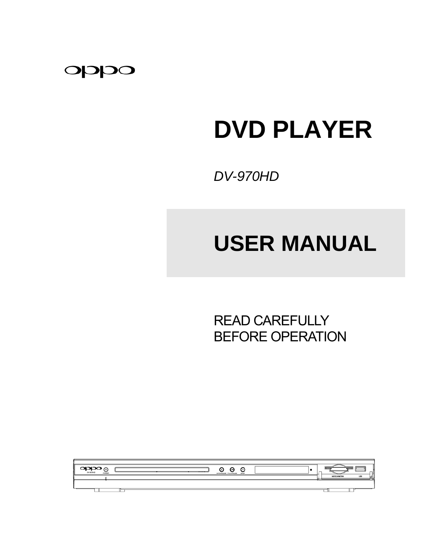

# **DVD PLAYER**

*DV-970HD* 

# **USER MANUAL**

 READ CAREFULLY BEFORE OPERATION

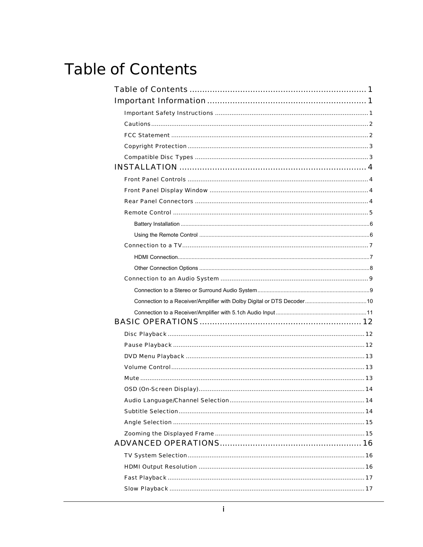## <span id="page-2-0"></span>**Table of Contents**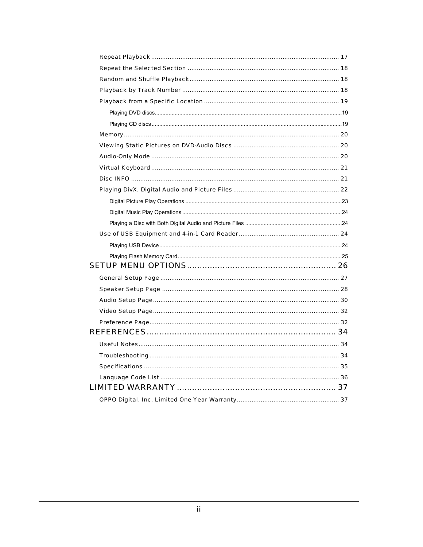| Audio-Only Mode ………………………………………………………………………………………… 20 |  |
|-------------------------------------------------------|--|
|                                                       |  |
|                                                       |  |
|                                                       |  |
|                                                       |  |
|                                                       |  |
|                                                       |  |
|                                                       |  |
|                                                       |  |
|                                                       |  |
|                                                       |  |
|                                                       |  |
|                                                       |  |
|                                                       |  |
|                                                       |  |
|                                                       |  |
|                                                       |  |
|                                                       |  |
|                                                       |  |
|                                                       |  |
|                                                       |  |
|                                                       |  |
|                                                       |  |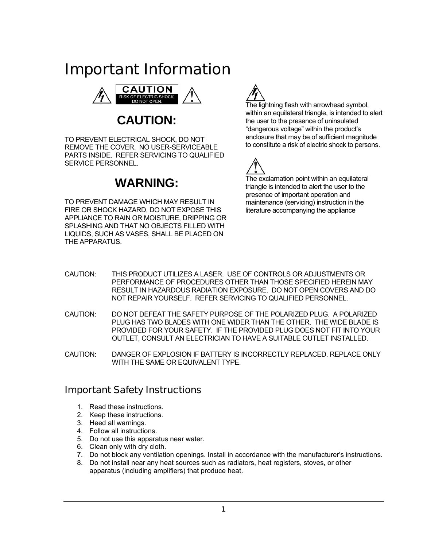## <span id="page-4-0"></span>Important Information



**CAUTION:** 

TO PREVENT ELECTRICAL SHOCK, DO NOT REMOVE THE COVER. NO USER-SERVICEABLE PARTS INSIDE. REFER SERVICING TO QUALIFIED SERVICE PERSONNEL.

## **WARNING:**

TO PREVENT DAMAGE WHICH MAY RESULT IN FIRE OR SHOCK HAZARD, DO NOT EXPOSE THIS APPLIANCE TO RAIN OR MOISTURE, DRIPPING OR SPLASHING AND THAT NO OBJECTS FILLED WITH LIQUIDS, SUCH AS VASES, SHALL BE PLACED ON THE APPARATUS.



The lightning flash with arrowhead symbol, within an equilateral triangle, is intended to alert the user to the presence of uninsulated "dangerous voltage" within the product's enclosure that may be of sufficient magnitude to constitute a risk of electric shock to persons.



The exclamation point within an equilateral triangle is intended to alert the user to the presence of important operation and maintenance (servicing) instruction in the literature accompanying the appliance

- CAUTION: THIS PRODUCT UTILIZES A LASER. USE OF CONTROLS OR ADJUSTMENTS OR PERFORMANCE OF PROCEDURES OTHER THAN THOSE SPECIFIED HEREIN MAY RESULT IN HAZARDOUS RADIATION EXPOSURE. DO NOT OPEN COVERS AND DO NOT REPAIR YOURSELF. REFER SERVICING TO QUALIFIED PERSONNEL.
- CAUTION: DO NOT DEFEAT THE SAFETY PURPOSE OF THE POLARIZED PLUG. A POLARIZED PLUG HAS TWO BLADES WITH ONE WIDER THAN THE OTHER. THE WIDE BLADE IS PROVIDED FOR YOUR SAFETY. IF THE PROVIDED PLUG DOES NOT FIT INTO YOUR OUTLET, CONSULT AN ELECTRICIAN TO HAVE A SUITABLE OUTLET INSTALLED.
- CAUTION: DANGER OF EXPLOSION IF BATTERY IS INCORRECTLY REPLACED. REPLACE ONLY WITH THE SAME OR EQUIVALENT TYPE.

## Important Safety Instructions

- 1. Read these instructions.
- 2. Keep these instructions.
- 3. Heed all warnings.
- 4. Follow all instructions.
- 5. Do not use this apparatus near water.
- 6. Clean only with dry cloth.
- 7. Do not block any ventilation openings. Install in accordance with the manufacturer's instructions.
- 8. Do not install near any heat sources such as radiators, heat registers, stoves, or other apparatus (including amplifiers) that produce heat.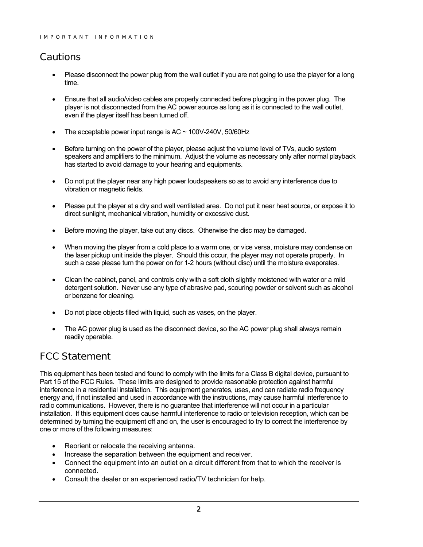## <span id="page-5-0"></span>**Cautions**

- Please disconnect the power plug from the wall outlet if you are not going to use the player for a long time.
- Ensure that all audio/video cables are properly connected before plugging in the power plug. The player is not disconnected from the AC power source as long as it is connected to the wall outlet, even if the player itself has been turned off.
- The acceptable power input range is  $AC \sim 100V-240V$ , 50/60Hz
- Before turning on the power of the player, please adjust the volume level of TVs, audio system speakers and amplifiers to the minimum. Adjust the volume as necessary only after normal playback has started to avoid damage to your hearing and equipments.
- Do not put the player near any high power loudspeakers so as to avoid any interference due to vibration or magnetic fields.
- Please put the player at a dry and well ventilated area. Do not put it near heat source, or expose it to direct sunlight, mechanical vibration, humidity or excessive dust.
- Before moving the player, take out any discs. Otherwise the disc may be damaged.
- When moving the player from a cold place to a warm one, or vice versa, moisture may condense on the laser pickup unit inside the player. Should this occur, the player may not operate properly. In such a case please turn the power on for 1-2 hours (without disc) until the moisture evaporates.
- Clean the cabinet, panel, and controls only with a soft cloth slightly moistened with water or a mild detergent solution. Never use any type of abrasive pad, scouring powder or solvent such as alcohol or benzene for cleaning.
- Do not place objects filled with liquid, such as vases, on the player.
- The AC power plug is used as the disconnect device, so the AC power plug shall always remain readily operable.

## FCC Statement

This equipment has been tested and found to comply with the limits for a Class B digital device, pursuant to Part 15 of the FCC Rules. These limits are designed to provide reasonable protection against harmful interference in a residential installation. This equipment generates, uses, and can radiate radio frequency energy and, if not installed and used in accordance with the instructions, may cause harmful interference to radio communications. However, there is no guarantee that interference will not occur in a particular installation. If this equipment does cause harmful interference to radio or television reception, which can be determined by turning the equipment off and on, the user is encouraged to try to correct the interference by one or more of the following measures:

- Reorient or relocate the receiving antenna.
- Increase the separation between the equipment and receiver.
- Connect the equipment into an outlet on a circuit different from that to which the receiver is connected.
- Consult the dealer or an experienced radio/TV technician for help.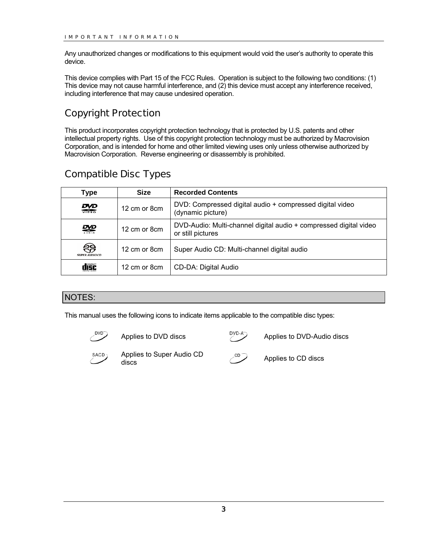<span id="page-6-0"></span>Any unauthorized changes or modifications to this equipment would void the user's authority to operate this device.

This device complies with Part 15 of the FCC Rules. Operation is subject to the following two conditions: (1) This device may not cause harmful interference, and (2) this device must accept any interference received, including interference that may cause undesired operation.

## Copyright Protection

This product incorporates copyright protection technology that is protected by U.S. patents and other intellectual property rights. Use of this copyright protection technology must be authorized by Macrovision Corporation, and is intended for home and other limited viewing uses only unless otherwise authorized by Macrovision Corporation. Reverse engineering or disassembly is prohibited.

## Compatible Disc Types

| Type                       | <b>Size</b>   | <b>Recorded Contents</b>                                                               |
|----------------------------|---------------|----------------------------------------------------------------------------------------|
| ₩                          | 12 cm or 8 cm | DVD: Compressed digital audio + compressed digital video<br>(dynamic picture)          |
| ₩                          | 12 cm or 8 cm | DVD-Audio: Multi-channel digital audio + compressed digital video<br>or still pictures |
| ඐ<br><b>SUPER AUDIO CD</b> | 12 cm or 8 cm | Super Audio CD: Multi-channel digital audio                                            |
| dîšč                       | 12 cm or 8 cm | CD-DA: Digital Audio                                                                   |

#### NOTES:

This manual uses the following icons to indicate items applicable to the compatible disc types:



Applies to DVD discs  $\overline{P_{\text{VD-A}}^{\text{DVD-A}}}$  Applies to DVD-Audio discs



Applies to Super Audio CD Applies to Super Audio CD<br>discs Applies to CD discs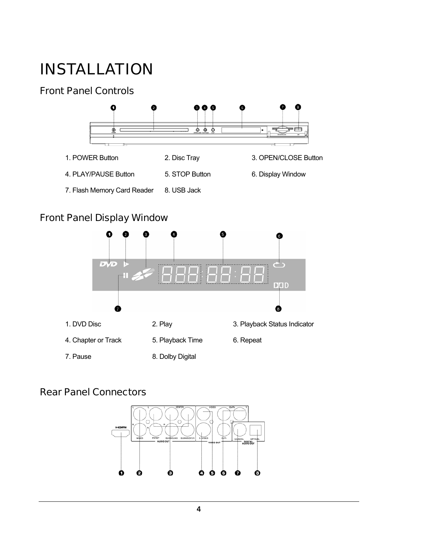## <span id="page-7-0"></span>INSTALLATION

## Front Panel Controls



## Front Panel Display Window



## Rear Panel Connectors

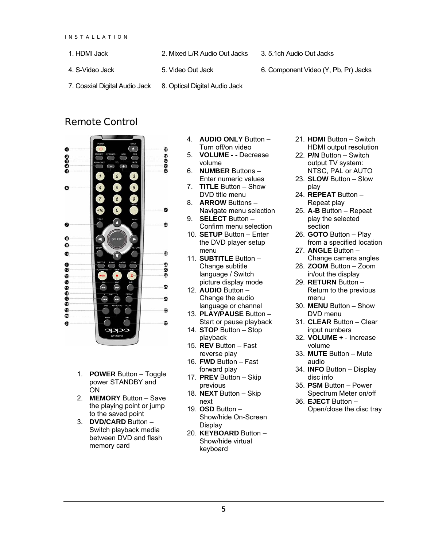<span id="page-8-0"></span>1. HDMI Jack 2. Mixed L/R Audio Out Jacks 3. 5.1ch Audio Out Jacks

4. S-Video Jack 5. Video Out Jack 6. Component Video (Y, Pb, Pr) Jacks

7. Coaxial Digital Audio Jack 8. Optical Digital Audio Jack

#### Remote Control



- 1. **POWER** Button Toggle power STANDBY and ON
- 2. **MEMORY** Button Save the playing point or jump to the saved point
- 3. **DVD/CARD** Button Switch playback media between DVD and flash memory card
- 4. **AUDIO ONLY** Button Turn off/on video
- 5. **VOLUME -** Decrease volume
- 6. **NUMBER** Buttons Enter numeric values
- 7. **TITLE** Button Show DVD title menu
- 8. **ARROW** Buttons Navigate menu selection
- 9. **SELECT** Button Confirm menu selection
- 10. **SETUP** Button Enter the DVD player setup menu
- 11. **SUBTITLE** Button Change subtitle language / Switch picture display mode
- 12. **AUDIO** Button Change the audio language or channel
- 13. **PLAY/PAUSE** Button Start or pause playback
- 14. **STOP** Button Stop playback
- 15. **REV** Button Fast reverse play
- 16. **FWD** Button Fast forward play
- 17. **PREV** Button Skip previous
- 18. **NEXT** Button Skip next
- 19. **OSD** Button Show/hide On-Screen **Display**
- 20. **KEYBOARD** Button Show/hide virtual keyboard
- 21. **HDMI** Button Switch HDMI output resolution
- 22. **P/N** Button Switch output TV system: NTSC, PAL or AUTO
- 23. **SLOW** Button Slow play
- 24. **REPEAT** Button Repeat play
- 25. **A-B** Button Repeat play the selected section
- 26. **GOTO** Button Play from a specified location
- 27. **ANGLE** Button Change camera angles
- 28. **ZOOM** Button Zoom in/out the display
- 29. **RETURN** Button Return to the previous menu
- 30. **MENU** Button Show DVD menu
- 31. **CLEAR** Button Clear input numbers
- 32. **VOLUME +** Increase volume
- 33. **MUTE** Button Mute audio
- 34. **INFO** Button Display disc info
- 35. **PSM** Button Power Spectrum Meter on/off
- 36. **EJECT** Button Open/close the disc tray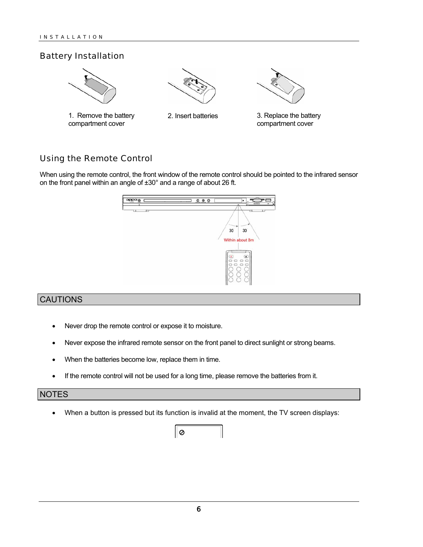#### <span id="page-9-0"></span>Battery Installation



1. Remove the battery compartment cover







#### Using the Remote Control

When using the remote control, the front window of the remote control should be pointed to the infrared sensor on the front panel within an angle of ±30° and a range of about 26 ft.



#### CAUTIONS

- Never drop the remote control or expose it to moisture.
- Never expose the infrared remote sensor on the front panel to direct sunlight or strong beams.
- When the batteries become low, replace them in time.
- If the remote control will not be used for a long time, please remove the batteries from it.

#### NOTES

• When a button is pressed but its function is invalid at the moment, the TV screen displays:

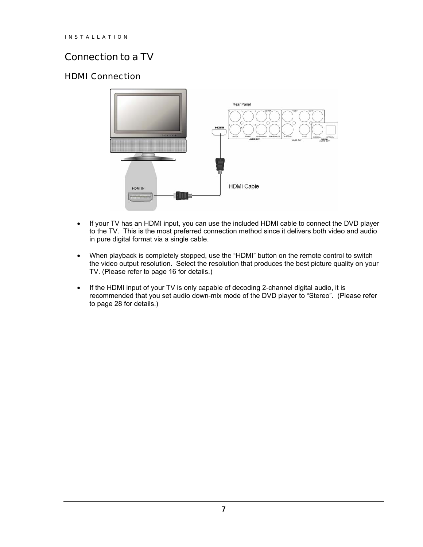## <span id="page-10-0"></span>Connection to a TV

#### HDMI Connection



- If your TV has an HDMI input, you can use the included HDMI cable to connect the DVD player to the TV. This is the most preferred connection method since it delivers both video and audio in pure digital format via a single cable.
- When playback is completely stopped, use the "HDMI" button on the remote control to switch the video output resolution. Select the resolution that produces the best picture quality on your TV. (Please refer to page [16](#page-19-0) for details.)
- If the HDMI input of your TV is only capable of decoding 2-channel digital audio, it is recommended that you set audio down-mix mode of the DVD player to "Stereo". (Please refer to page [28](#page-31-0) for details.)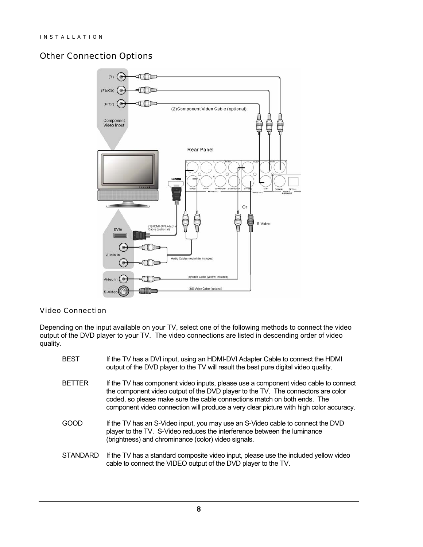#### <span id="page-11-0"></span>Other Connection Options



#### Video Connection

Depending on the input available on your TV, select one of the following methods to connect the video output of the DVD player to your TV. The video connections are listed in descending order of video quality.

| <b>BEST</b>     | If the TV has a DVI input, using an HDMI-DVI Adapter Cable to connect the HDMI<br>output of the DVD player to the TV will result the best pure digital video quality.                                                                                                                                                                         |
|-----------------|-----------------------------------------------------------------------------------------------------------------------------------------------------------------------------------------------------------------------------------------------------------------------------------------------------------------------------------------------|
| <b>BETTER</b>   | If the TV has component video inputs, please use a component video cable to connect<br>the component video output of the DVD player to the TV. The connectors are color<br>coded, so please make sure the cable connections match on both ends. The<br>component video connection will produce a very clear picture with high color accuracy. |
| GOOD            | If the TV has an S-Video input, you may use an S-Video cable to connect the DVD<br>player to the TV. S-Video reduces the interference between the luminance<br>(brightness) and chrominance (color) video signals.                                                                                                                            |
| <b>STANDARD</b> | If the TV has a standard composite video input, please use the included yellow video<br>cable to connect the VIDEO output of the DVD player to the TV.                                                                                                                                                                                        |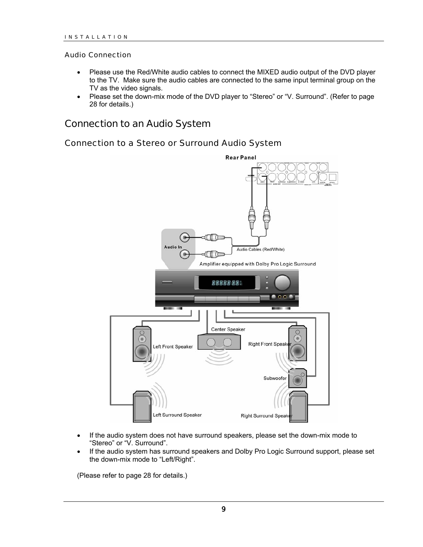#### <span id="page-12-0"></span>Audio Connection

- Please use the Red/White audio cables to connect the MIXED audio output of the DVD player to the TV. Make sure the audio cables are connected to the same input terminal group on the TV as the video signals.
- Please set the down-mix mode of the DVD player to "Stereo" or "V. Surround". (Refer to page [28](#page-31-0) for details.)

#### Connection to an Audio System

#### Connection to a Stereo or Surround Audio System



- If the audio system does not have surround speakers, please set the down-mix mode to "Stereo" or "V. Surround".
- If the audio system has surround speakers and Dolby Pro Logic Surround support, please set the down-mix mode to "Left/Right".

(Please refer to page [28](#page-31-0) for details.)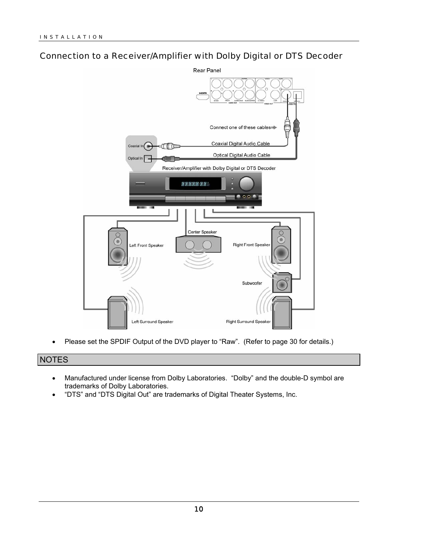#### <span id="page-13-0"></span>Connection to a Receiver/Amplifier with Dolby Digital or DTS Decoder



• Please set the SPDIF Output of the DVD player to "Raw". (Refer to page [30](#page-33-0) for details.)

#### NOTES

- Manufactured under license from Dolby Laboratories. "Dolby" and the double-D symbol are trademarks of Dolby Laboratories.
- "DTS" and "DTS Digital Out" are trademarks of Digital Theater Systems, Inc.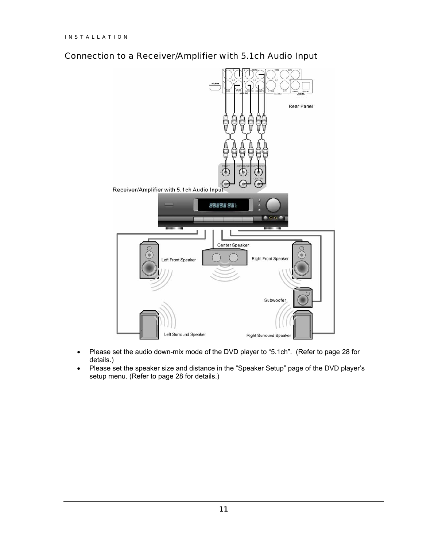

#### <span id="page-14-0"></span>Connection to a Receiver/Amplifier with 5.1ch Audio Input

- Please set the audio down-mix mode of the DVD player to "5.1ch". (Refer to page [28](#page-31-0) for details.)
- Please set the speaker size and distance in the "Speaker Setup" page of the DVD player's setup menu. (Refer to page [28](#page-31-0) for details.)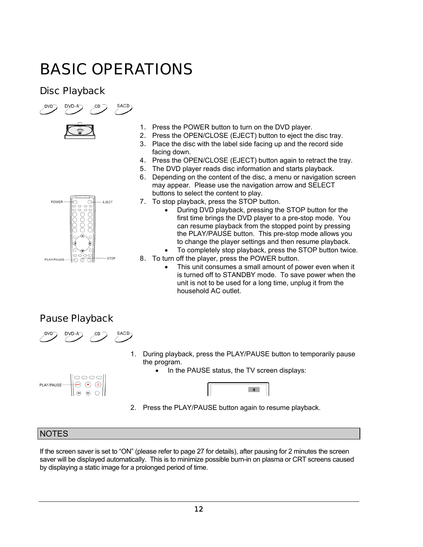## <span id="page-15-0"></span>BASIC OPERATIONS

SACD)

## Disc Playback





- 2. Press the OPEN/CLOSE (EJECT) button to eject the disc tray.
- 3. Place the disc with the label side facing up and the record side facing down.
- 4. Press the OPEN/CLOSE (EJECT) button again to retract the tray.
- 5. The DVD player reads disc information and starts playback.
- 6. Depending on the content of the disc, a menu or navigation screen may appear. Please use the navigation arrow and SELECT buttons to select the content to play.
- 7. To stop playback, press the STOP button.
	- During DVD playback, pressing the STOP button for the first time brings the DVD player to a pre-stop mode. You can resume playback from the stopped point by pressing the PLAY/PAUSE button. This pre-stop mode allows you to change the player settings and then resume playback. • To completely stop playback, press the STOP button twice.
- 8. To turn off the player, press the POWER button.
	- This unit consumes a small amount of power even when it is turned off to STANDBY mode. To save power when the unit is not to be used for a long time, unplug it from the household AC outlet.

## Pause Playback



 $\odot$   $\odot$   $\odot$ 

1. During playback, press the PLAY/PAUSE button to temporarily pause the program.

 $\mathbf{H}$ 

• In the PAUSE status, the TV screen displays:



#### **NOTES**

PLAY/PAUSE

If the screen saver is set to "ON" (please refer to page [27](#page-30-0) for details), after pausing for 2 minutes the screen saver will be displayed automatically. This is to minimize possible burn-in on plasma or CRT screens caused by displaying a static image for a prolonged period of time.



STOP PLAY/PAUSE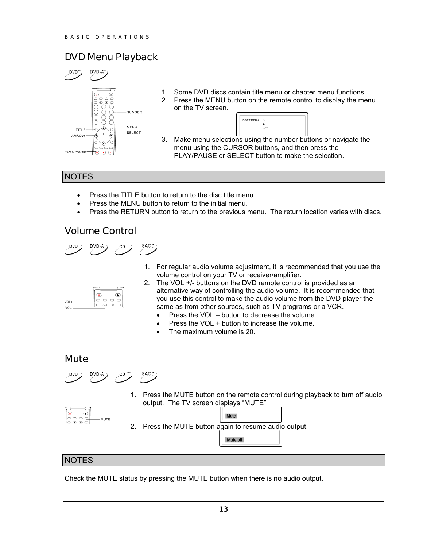## <span id="page-16-0"></span>DVD Menu Playback



- 1. Some DVD discs contain title menu or chapter menu functions.
- 2. Press the MENU button on the remote control to display the menu on the TV screen.



3. Make menu selections using the number buttons or navigate the menu using the CURSOR buttons, and then press the PLAY/PAUSE or SELECT button to make the selection.

#### **NOTES**

- Press the TITLE button to return to the disc title menu.
- Press the MENU button to return to the initial menu.
- Press the RETURN button to return to the previous menu. The return location varies with discs.

#### Volume Control



1. For regular audio volume adjustment, it is recommended that you use the volume control on your TV or receiver/amplifier.

| VOL |   |
|-----|---|
| VOL | - |

- 2. The VOL +/- buttons on the DVD remote control is provided as an alternative way of controlling the audio volume. It is recommended that you use this control to make the audio volume from the DVD player the same as from other sources, such as TV programs or a VCR.
	- Press the VOL button to decrease the volume.
	- Press the VOL + button to increase the volume.
	- The maximum volume is 20.

#### **Mute**

SACD DVD-A CD

1. Press the MUTE button on the remote control during playback to turn off audio output. The TV screen displays "MUTE"



2. Press the MUTE button again to resume audio output.

#### **NOTES**

Check the MUTE status by pressing the MUTE button when there is no audio output.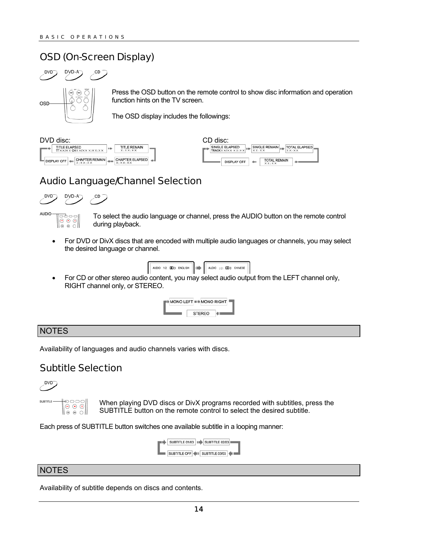## <span id="page-17-0"></span>OSD (On-Screen Display)

## $\sim$



Press the OSD button on the remote control to show disc information and operation function hints on the TV screen.

The OSD display includes the followings:

| DVD disc:                                               |                                            | CD disc:                                                         |
|---------------------------------------------------------|--------------------------------------------|------------------------------------------------------------------|
| <b>TITLE ELAPSED</b><br>TTXX/XXCHXX/XXXX:XX:XX          | TITLE REMAIN<br>睡<br>$X: X \times Y$       | SINGLE ELAPSED<br>$TRACK \times / \times \times \times / \times$ |
| CHAPTER REMAIN<br><b>DISPLAY OFF 488</b><br>X: X X: X X | CHAPTER ELAPSED 4<br>--<br>$X: X \times Y$ | <b>DISPLAY C</b>                                                 |



## Audio Language/Channel Selection





To select the audio language or channel, press the AUDIO button on the remote control during playback.

• For DVD or DivX discs that are encoded with multiple audio languages or channels, you may select the desired language or channel.

|  | AUDIO 1/2: DEID ENGLISH             AUDIO 2/2: DEID CHINESE |  |  |  |  |
|--|-------------------------------------------------------------|--|--|--|--|
|  |                                                             |  |  |  |  |

• For CD or other stereo audio content, you may select audio output from the LEFT channel only, RIGHT channel only, or STEREO.



#### **NOTES**

Availability of languages and audio channels varies with discs.

## Subtitle Selection



|⊖ ၀၀<br>|⊖ ⊙ ⊙ || 1000

When playing DVD discs or DivX programs recorded with subtitles, press the SUBTITLE button on the remote control to select the desired subtitle.

Each press of SUBTITLE button switches one available subtitle in a looping manner:

| SUBTITLE OFF   III SUBTITLE 03/03 |  |  |
|-----------------------------------|--|--|

#### **NOTES**

Availability of subtitle depends on discs and contents.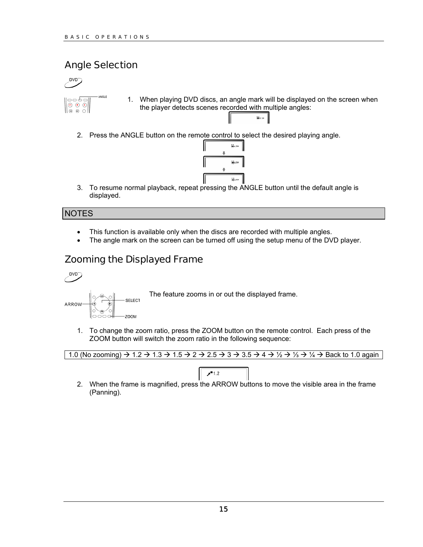## <span id="page-18-0"></span>Angle Selection





3. To resume normal playback, repeat pressing the ANGLE button until the default angle is displayed.

#### **NOTES**

- This function is available only when the discs are recorded with multiple angles.
- The angle mark on the screen can be turned off using the setup menu of the DVD player.

## Zooming the Displayed Frame



**SELECT** ARROW ZOOM

The feature zooms in or out the displayed frame.

1. To change the zoom ratio, press the ZOOM button on the remote control. Each press of the ZOOM button will switch the zoom ratio in the following sequence:

|  |  | 1.0 (No zooming) $\rightarrow$ 1.2 $\rightarrow$ 1.3 $\rightarrow$ 1.5 $\rightarrow$ 2 $\rightarrow$ 2.5 $\rightarrow$ 3 $\rightarrow$ 3.5 $\rightarrow$ 4 $\rightarrow$ 1/ <sub>2</sub> $\rightarrow$ 1/ <sub>3</sub> $\rightarrow$ 1/ <sub>4</sub> $\rightarrow$ Back to 1.0 again |
|--|--|--------------------------------------------------------------------------------------------------------------------------------------------------------------------------------------------------------------------------------------------------------------------------------------|
|  |  |                                                                                                                                                                                                                                                                                      |

- $7 1.2$
- 2. When the frame is magnified, press the ARROW buttons to move the visible area in the frame (Panning).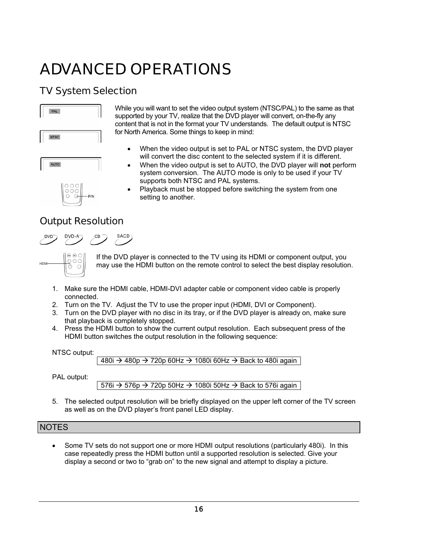## <span id="page-19-0"></span>ADVANCED OPERATIONS

## TV System Selection

| PAL         |  |
|-------------|--|
| <b>NTSC</b> |  |
| <b>AUTO</b> |  |

for North America. Some things to keep in mind: • When the video output is set to PAL or NTSC system, the DVD player will convert the disc content to the selected system if it is different.

> • When the video output is set to AUTO, the DVD player will **not** perform system conversion. The AUTO mode is only to be used if your TV supports both NTSC and PAL systems.

While you will want to set the video output system (NTSC/PAL) to the same as that supported by your TV, realize that the DVD player will convert, on-the-fly any content that is not in the format your TV understands. The default output is NTSC

• Playback must be stopped before switching the system from one setting to another.

## Output Resolution





If the DVD player is connected to the TV using its HDMI or component output, you may use the HDMI button on the remote control to select the best display resolution.

- 1. Make sure the HDMI cable, HDMI-DVI adapter cable or component video cable is properly connected.
- 2. Turn on the TV. Adjust the TV to use the proper input (HDMI, DVI or Component).
- 3. Turn on the DVD player with no disc in its tray, or if the DVD player is already on, make sure that playback is completely stopped.
- 4. Press the HDMI button to show the current output resolution. Each subsequent press of the HDMI button switches the output resolution in the following sequence:

NTSC output:

 $480i \rightarrow 480p \rightarrow 720p 60Hz \rightarrow 1080i 60Hz \rightarrow Back to 480i again$ 

PAL output:

 $576i \rightarrow 576p \rightarrow 720p$  50Hz  $\rightarrow$  1080i 50Hz  $\rightarrow$  Back to 576i again

5. The selected output resolution will be briefly displayed on the upper left corner of the TV screen as well as on the DVD player's front panel LED display.

#### **NOTES**

• Some TV sets do not support one or more HDMI output resolutions (particularly 480i). In this case repeatedly press the HDMI button until a supported resolution is selected. Give your display a second or two to "grab on" to the new signal and attempt to display a picture.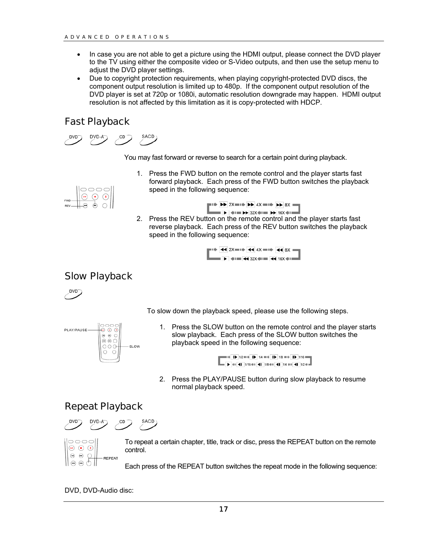- <span id="page-20-0"></span>• In case you are not able to get a picture using the HDMI output, please connect the DVD player to the TV using either the composite video or S-Video outputs, and then use the setup menu to adjust the DVD player settings.
- Due to copyright protection requirements, when playing copyright-protected DVD discs, the component output resolution is limited up to 480p. If the component output resolution of the DVD player is set at 720p or 1080i, automatic resolution downgrade may happen. HDMI output resolution is not affected by this limitation as it is copy-protected with HDCP.

## Fast Playback

SACD<sub>)</sub>

You may fast forward or reverse to search for a certain point during playback.

1. Press the FWD button on the remote control and the player starts fast forward playback. Each press of the FWD button switches the playback speed in the following sequence:

| FWD |  |  |
|-----|--|--|
| REV |  |  |

|  | $\blacksquare$ $\blacktriangleright$ $\blacktriangleright$ 2X $\blacksquare$ $\blacktriangleright$ $\blacktriangleright$ 4X $\blacksquare$ $\blacktriangleright$ $\blacktriangleright$ 8X                                             |  |  |  |  |
|--|---------------------------------------------------------------------------------------------------------------------------------------------------------------------------------------------------------------------------------------|--|--|--|--|
|  | $\parallel$ $\blacktriangleright$ $\parallel$ $\parallel$ $\parallel$ $\parallel$ $\blacktriangleright$ $\parallel$ 32X $\parallel$ $\parallel$ $\parallel$ $\blacktriangleright$ $\parallel$ 16X $\parallel$ $\parallel$ $\parallel$ |  |  |  |  |

2. Press the REV button on the remote control and the player starts fast reverse playback. Each press of the REV button switches the playback speed in the following sequence:

$$
\begin{array}{c}\n\begin{array}{c}\n\text{11} \\
\text{21} \\
\text{32} \\
\text{43}\n\end{array}\n\end{array}
$$

## Slow Playback



To slow down the playback speed, please use the following steps.



1. Press the SLOW button on the remote control and the player starts slow playback. Each press of the SLOW button switches the playback speed in the following sequence:

> $=$   $+$   $\overline{1}$   $\overline{1}$   $1/2$   $=$   $+$   $\overline{1}$   $\overline{1}$   $1/4$   $=$   $+$   $\overline{1}$   $\overline{1}$   $1/8$   $=$   $+$   $\overline{1}$   $\overline{1}$   $1/16$   $=$   $\overline{1}$  $\blacktriangleright$  40 41 1/16 40 41 1/8 40 41 1/4 40 41 1/4 20 -

2. Press the PLAY/PAUSE button during slow playback to resume normal playback speed.

## Repeat Playback





To repeat a certain chapter, title, track or disc, press the REPEAT button on the remote control.

Each press of the REPEAT button switches the repeat mode in the following sequence:

DVD, DVD-Audio disc: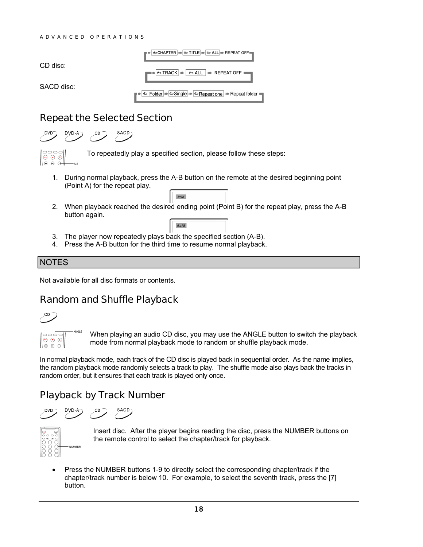<span id="page-21-0"></span>

|            | OCHAPTER IIID TITLE IIID O ALL IIID REPEAT OFF  |
|------------|-------------------------------------------------|
| CD disc:   |                                                 |
| SACD disc: | © Folder   GSingle   CRepeat one   Repeat folde |
|            |                                                 |

#### Repeat the Selected Section

SACD



**DA** 

 $\bigcirc$  AB

- 1. During normal playback, press the A-B button on the remote at the desired beginning point (Point A) for the repeat play.
- 2. When playback reached the desired ending point (Point B) for the repeat play, press the A-B button again.
- 3. The player now repeatedly plays back the specified section (A-B).
- 4. Press the A-B button for the third time to resume normal playback.

#### **NOTES**

 $\circ$   $\circ$  $\theta$   $\theta$ 

Not available for all disc formats or contents.

## Random and Shuffle Playback





When playing an audio CD disc, you may use the ANGLE button to switch the playback mode from normal playback mode to random or shuffle playback mode.

In normal playback mode, each track of the CD disc is played back in sequential order. As the name implies, the random playback mode randomly selects a track to play. The shuffle mode also plays back the tracks in random order, but it ensures that each track is played only once.

## Playback by Track Number

SACD



Insert disc. After the player begins reading the disc, press the NUMBER buttons on the remote control to select the chapter/track for playback.

• Press the NUMBER buttons 1-9 to directly select the corresponding chapter/track if the chapter/track number is below 10. For example, to select the seventh track, press the [7] button.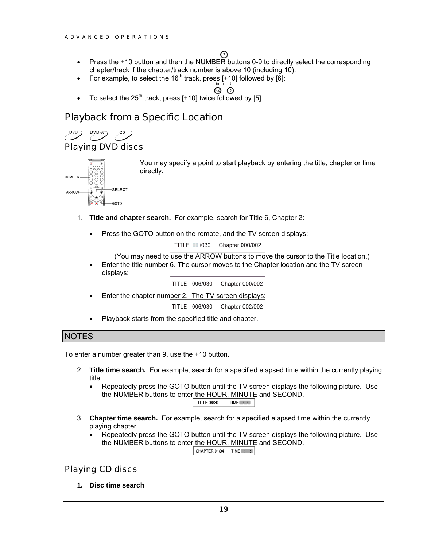#### の

- <span id="page-22-0"></span>• Press the +10 button and then the NUMBER buttons 0-9 to directly select the corresponding chapter/track if the chapter/track number is above 10 (including 10).
- For example, to select the 16<sup>th</sup> track, press  $[+10]$  followed by  $[6]$ :

$$
\overset{\shortparallel }{\mathbf{\Theta }}\overset{\shortparallel }{\mathbf{\mathbf{C}}}
$$

To select the  $25<sup>th</sup>$  track, press [+10] twice followed by [5].

## Playback from a Specific Location

CD

#### Playing DVD discs



You may specify a point to start playback by entering the title, chapter or time directly.

- 1. **Title and chapter search.** For example, search for Title 6, Chapter 2:
	- Press the GOTO button on the remote, and the TV screen displays:

TITLE III /030 Chapter 000/002

(You may need to use the ARROW buttons to move the cursor to the Title location.)

• Enter the title number 6. The cursor moves to the Chapter location and the TV screen displays:



Playback starts from the specified title and chapter.

#### **NOTES**

To enter a number greater than 9, use the +10 button.

- 2. **Title time search.** For example, search for a specified elapsed time within the currently playing title.
	- Repeatedly press the GOTO button until the TV screen displays the following picture. Use the NUMBER buttons to enter the HOUR, MINUTE and SECOND. **TITLE 06/30** TIME : :

3. **Chapter time search.** For example, search for a specified elapsed time within the currently playing chapter.

• Repeatedly press the GOTO button until the TV screen displays the following picture. Use the NUMBER buttons to enter the HOUR, MINUTE and SECOND.

CHAPTER 01/04 TIME ::

#### Playing CD discs

**1. Disc time search**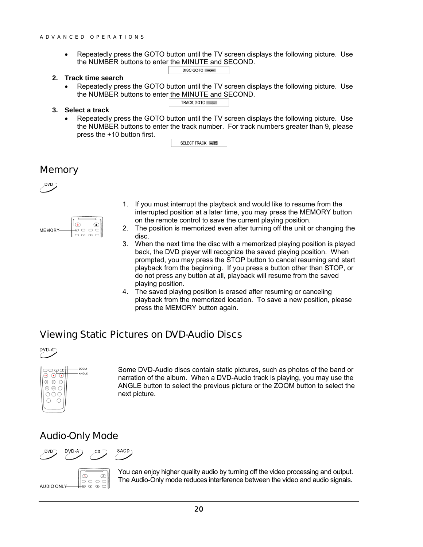<span id="page-23-0"></span>• Repeatedly press the GOTO button until the TV screen displays the following picture. Use the NUMBER buttons to enter the MINUTE and SECOND.

TRACK GOTO

- **2. Track time search** 
	- Repeatedly press the GOTO button until the TV screen displays the following picture. Use the NUMBER buttons to enter the MINUTE and SECOND.
- **3. Select a track** 
	- Repeatedly press the GOTO button until the TV screen displays the following picture. Use the NUMBER buttons to enter the track number. For track numbers greater than 9, please press the +10 button first.

SELECT TRACK -/15

#### **Memory**



| <b>MEMORY</b> |   |
|---------------|---|
|               | Ξ |

- 1. If you must interrupt the playback and would like to resume from the interrupted position at a later time, you may press the MEMORY button on the remote control to save the current playing position.
- 2. The position is memorized even after turning off the unit or changing the disc.
- 3. When the next time the disc with a memorized playing position is played back, the DVD player will recognize the saved playing position. When prompted, you may press the STOP button to cancel resuming and start playback from the beginning. If you press a button other than STOP, or do not press any button at all, playback will resume from the saved playing position.
- 4. The saved playing position is erased after resuming or canceling playback from the memorized location. To save a new position, please press the MEMORY button again.

#### Viewing Static Pictures on DVD-Audio Discs





Some DVD-Audio discs contain static pictures, such as photos of the band or narration of the album. When a DVD-Audio track is playing, you may use the ANGLE button to select the previous picture or the ZOOM button to select the next picture.

## Audio-Only Mode



You can enjoy higher quality audio by turning off the video processing and output. The Audio-Only mode reduces interference between the video and audio signals.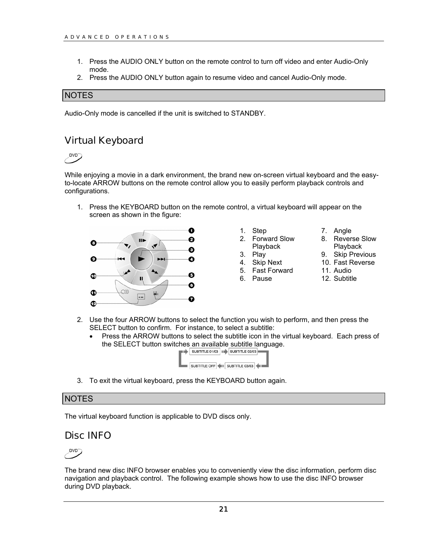- <span id="page-24-0"></span>1. Press the AUDIO ONLY button on the remote control to turn off video and enter Audio-Only mode.
- 2. Press the AUDIO ONLY button again to resume video and cancel Audio-Only mode.

#### **NOTES**

Audio-Only mode is cancelled if the unit is switched to STANDBY.

#### Virtual Keyboard

DVD<sup>-1</sup>

While enjoying a movie in a dark environment, the brand new on-screen virtual keyboard and the easyto-locate ARROW buttons on the remote control allow you to easily perform playback controls and configurations.

1. Press the KEYBOARD button on the remote control, a virtual keyboard will appear on the screen as shown in the figure:



| Step |  |
|------|--|
|      |  |

2. Forward Slow Playback

- 3. Play
- 4. Skip Next
- 5. Fast Forward
- 6. Pause
- 7. Angle
- 8. Reverse Slow Playback
- 9. Skip Previous
- 10. Fast Reverse
- 11. Audio
- 12. Subtitle
- 2. Use the four ARROW buttons to select the function you wish to perform, and then press the SELECT button to confirm. For instance, to select a subtitle:
	- Press the ARROW buttons to select the subtitle icon in the virtual keyboard. Each press of the SELECT button switches an available subtitle language.<br>
	SUBTITLE 01/03 | SUBTITLE 01/03 | SUBTITLE 02/03



3. To exit the virtual keyboard, press the KEYBOARD button again.

#### **NOTES**

The virtual keyboard function is applicable to DVD discs only.

#### Disc INFO

## $DVD^-$

The brand new disc INFO browser enables you to conveniently view the disc information, perform disc navigation and playback control. The following example shows how to use the disc INFO browser during DVD playback.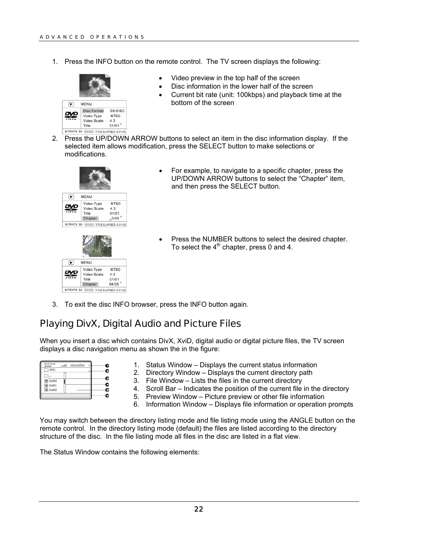<span id="page-25-0"></span>1. Press the INFO button on the remote control. The TV screen displays the following:



- Video preview in the top half of the screen
- Disc information in the lower half of the screen
- Current bit rate (unit: 100kbps) and playback time at the bottom of the screen
- 2. Press the UP/DOWN ARROW buttons to select an item in the disc information display. If the selected item allows modification, press the SELECT button to make selections or modifications.



- For example, to navigate to a specific chapter, press the UP/DOWN ARROW buttons to select the "Chapter" item, and then press the SELECT button.
- Press the NUMBER buttons to select the desired chapter. To select the  $4<sup>th</sup>$  chapter, press 0 and 4.
- 3. To exit the disc INFO browser, press the INFO button again.

#### Playing DivX, Digital Audio and Picture Files

When you insert a disc which contains DivX, XviD, digital audio or digital picture files, the TV screen displays a disc navigation menu as shown the in the figure:

|                | ----<br>--------------              |
|----------------|-------------------------------------|
|                | <b>COL</b>                          |
|                |                                     |
|                |                                     |
|                |                                     |
| -------------- |                                     |
|                | <b>CAR IN CASE OF A SECOND CASE</b> |
|                |                                     |

- 1. Status Window Displays the current status information
- 2. Directory Window Displays the current directory path
- 3. File Window Lists the files in the current directory
- 4. Scroll Bar Indicates the position of the current file in the directory
- 5. Preview Window Picture preview or other file information
- 6. Information Window Displays file information or operation prompts

You may switch between the directory listing mode and file listing mode using the ANGLE button on the remote control. In the directory listing mode (default) the files are listed according to the directory structure of the disc. In the file listing mode all files in the disc are listed in a flat view.

The Status Window contains the following elements: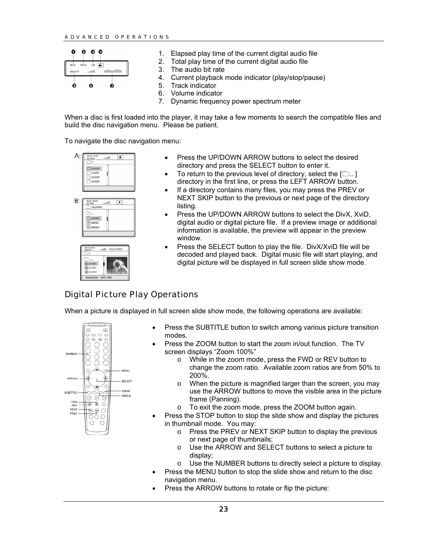#### <span id="page-26-0"></span>ADVANCED OPERATIONS



- 1. Elapsed play time of the current digital audio file
- 2. Total play time of the current digital audio file
- 3. The audio bit rate
- 4. Current playback mode indicator (play/stop/pause)
- 5. Track indicator
- 6. Volume indicator
- 7. Dynamic frequency power spectrum meter

When a disc is first loaded into the player, it may take a few moments to search the compatible files and build the disc navigation menu. Please be patient.

To navigate the disc navigation menu:







- Press the UP/DOWN ARROW buttons to select the desired directory and press the SELECT button to enter it.
- To return to the previous level of directory, select the  $[\square]$ . directory in the first line, or press the LEFT ARROW button.
- If a directory contains many files, you may press the PREV or NEXT SKIP button to the previous or next page of the directory listing.
- Press the UP/DOWN ARROW buttons to select the DivX, XviD, digital audio or digital picture file. If a preview image or additional information is available, the preview will appear in the preview window.
- Press the SELECT button to play the file. DivX/XviD file will be decoded and played back. Digital music file will start playing, and digital picture will be displayed in full screen slide show mode.

## Digital Picture Play Operations

When a picture is displayed in full screen slide show mode, the following operations are available:



- Press the SUBTITLE button to switch among various picture transition modes.
- Press the ZOOM button to start the zoom in/out function. The TV screen displays "Zoom 100%"
	- o While in the zoom mode, press the FWD or REV button to change the zoom ratio. Available zoom ratios are from 50% to 200%.
	- o When the picture is magnified larger than the screen, you may use the ARROW buttons to move the visible area in the picture frame (Panning).
	- o To exit the zoom mode, press the ZOOM button again.
- Press the STOP button to stop the slide show and display the pictures in thumbnail mode. You may:
	- o Press the PREV or NEXT SKIP button to display the previous or next page of thumbnails;
	- o Use the ARROW and SELECT buttons to select a picture to display;
	- o Use the NUMBER buttons to directly select a picture to display.
- Press the MENU button to stop the slide show and return to the disc navigation menu.
- Press the ARROW buttons to rotate or flip the picture: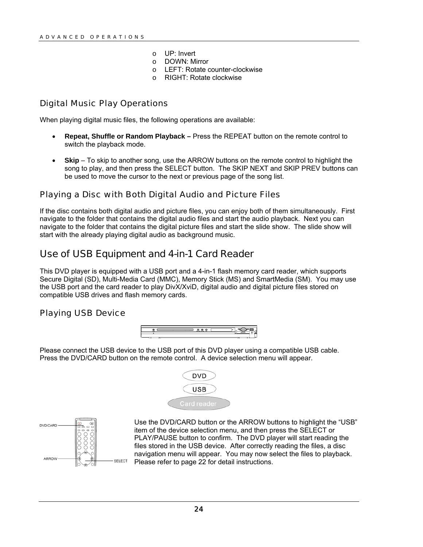- o UP: Invert
- o DOWN: Mirror
- o LEFT: Rotate counter-clockwise
- o RIGHT: Rotate clockwise

#### <span id="page-27-0"></span>Digital Music Play Operations

When playing digital music files, the following operations are available:

- **Repeat, Shuffle or Random Playback** Press the REPEAT button on the remote control to switch the playback mode.
- **Skip** To skip to another song, use the ARROW buttons on the remote control to highlight the song to play, and then press the SELECT button. The SKIP NEXT and SKIP PREV buttons can be used to move the cursor to the next or previous page of the song list.

#### Playing a Disc with Both Digital Audio and Picture Files

If the disc contains both digital audio and picture files, you can enjoy both of them simultaneously. First navigate to the folder that contains the digital audio files and start the audio playback. Next you can navigate to the folder that contains the digital picture files and start the slide show. The slide show will start with the already playing digital audio as background music.

## Use of USB Equipment and 4-in-1 Card Reader

This DVD player is equipped with a USB port and a 4-in-1 flash memory card reader, which supports Secure Digital (SD), Multi-Media Card (MMC), Memory Stick (MS) and SmartMedia (SM). You may use the USB port and the card reader to play DivX/XviD, digital audio and digital picture files stored on compatible USB drives and flash memory cards.

#### Playing USB Device



Please connect the USB device to the USB port of this DVD player using a compatible USB cable. Press the DVD/CARD button on the remote control. A device selection menu will appear.





Use the DVD/CARD button or the ARROW buttons to highlight the "USB" item of the device selection menu, and then press the SELECT or PLAY/PAUSE button to confirm. The DVD player will start reading the files stored in the USB device. After correctly reading the files, a disc navigation menu will appear. You may now select the files to playback. Please refer to page [22](#page-25-0) for detail instructions.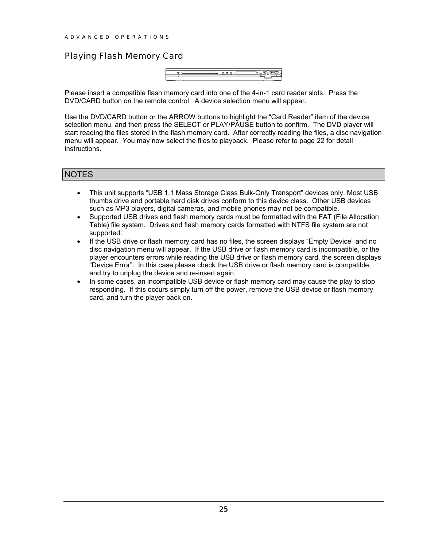#### <span id="page-28-0"></span>Playing Flash Memory Card



Please insert a compatible flash memory card into one of the 4-in-1 card reader slots. Press the DVD/CARD button on the remote control. A device selection menu will appear.

Use the DVD/CARD button or the ARROW buttons to highlight the "Card Reader" item of the device selection menu, and then press the SELECT or PLAY/PAUSE button to confirm. The DVD player will start reading the files stored in the flash memory card. After correctly reading the files, a disc navigation menu will appear. You may now select the files to playback. Please refer to page [22](#page-25-0) for detail instructions.

#### **NOTES**

- This unit supports "USB 1.1 Mass Storage Class Bulk-Only Transport" devices only. Most USB thumbs drive and portable hard disk drives conform to this device class. Other USB devices such as MP3 players, digital cameras, and mobile phones may not be compatible.
- Supported USB drives and flash memory cards must be formatted with the FAT (File Allocation Table) file system. Drives and flash memory cards formatted with NTFS file system are not supported.
- If the USB drive or flash memory card has no files, the screen displays "Empty Device" and no disc navigation menu will appear. If the USB drive or flash memory card is incompatible, or the player encounters errors while reading the USB drive or flash memory card, the screen displays "Device Error". In this case please check the USB drive or flash memory card is compatible, and try to unplug the device and re-insert again.
- In some cases, an incompatible USB device or flash memory card may cause the play to stop responding. If this occurs simply turn off the power, remove the USB device or flash memory card, and turn the player back on.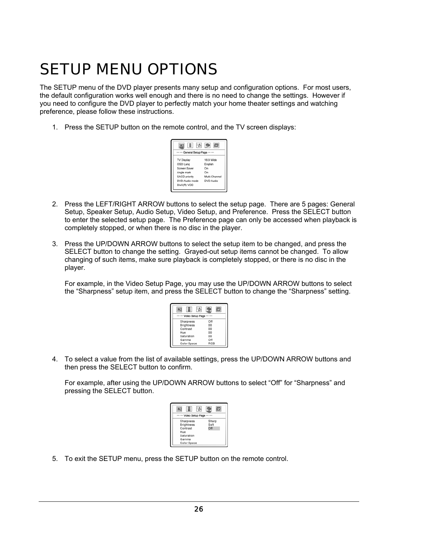## <span id="page-29-0"></span>SETUP MENU OPTIONS

The SETUP menu of the DVD player presents many setup and configuration options. For most users, the default configuration works well enough and there is no need to change the settings. However if you need to configure the DVD player to perfectly match your home theater settings and watching preference, please follow these instructions.

1. Press the SETUP button on the remote control, and the TV screen displays:



- 2. Press the LEFT/RIGHT ARROW buttons to select the setup page. There are 5 pages: General Setup, Speaker Setup, Audio Setup, Video Setup, and Preference. Press the SELECT button to enter the selected setup page. The Preference page can only be accessed when playback is completely stopped, or when there is no disc in the player.
- 3. Press the UP/DOWN ARROW buttons to select the setup item to be changed, and press the SELECT button to change the setting. Grayed-out setup items cannot be changed. To allow changing of such items, make sure playback is completely stopped, or there is no disc in the player.

For example, in the Video Setup Page, you may use the UP/DOWN ARROW buttons to select the "Sharpness" setup item, and press the SELECT button to change the "Sharpness" setting.

| Video Setup Page  |     |
|-------------------|-----|
| Sharpness         | Off |
| <b>Brightness</b> | 00  |
| Contrast          | 00  |
| Hue               | 00  |
| Saturation        | 00  |
| Gamma             | Off |
| Color Space       | RGB |

4. To select a value from the list of available settings, press the UP/DOWN ARROW buttons and then press the SELECT button to confirm.

For example, after using the UP/DOWN ARROW buttons to select "Off" for "Sharpness" and pressing the SELECT button.

| Video Setup Page          |  |
|---------------------------|--|
|                           |  |
| Sharpness<br>Sharp        |  |
| Soft<br><b>Brightness</b> |  |
| Off<br>Contrast           |  |
| Hue                       |  |
| Saturation                |  |
| Gamma                     |  |
| Color Space               |  |

5. To exit the SETUP menu, press the SETUP button on the remote control.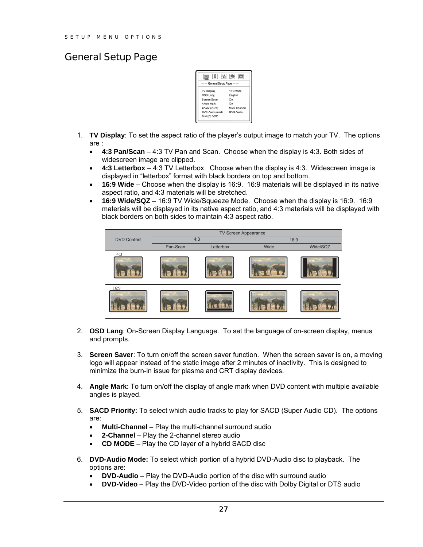#### <span id="page-30-0"></span>General Setup Page



- 1. **TV Display**: To set the aspect ratio of the player's output image to match your TV. The options are :
	- **4:3 Pan/Scan**  4:3 TV Pan and Scan. Choose when the display is 4:3. Both sides of widescreen image are clipped.
	- **4:3 Letterbox** 4:3 TV Letterbox. Choose when the display is 4:3. Widescreen image is displayed in "letterbox" format with black borders on top and bottom.
	- **16:9 Wide** Choose when the display is 16:9. 16:9 materials will be displayed in its native aspect ratio, and 4:3 materials will be stretched.
	- **16:9 Wide/SQZ** 16:9 TV Wide/Squeeze Mode. Choose when the display is 16:9. 16:9 materials will be displayed in its native aspect ratio, and 4:3 materials will be displayed with black borders on both sides to maintain 4:3 aspect ratio.



- 2. **OSD Lang**: On-Screen Display Language. To set the language of on-screen display, menus and prompts.
- 3. **Screen Saver**: To turn on/off the screen saver function. When the screen saver is on, a moving logo will appear instead of the static image after 2 minutes of inactivity. This is designed to minimize the burn-in issue for plasma and CRT display devices.
- 4. **Angle Mark**: To turn on/off the display of angle mark when DVD content with multiple available angles is played.
- 5. **SACD Priority:** To select which audio tracks to play for SACD (Super Audio CD). The options are:
	- **Multi-Channel** Play the multi-channel surround audio
	- **2-Channel**  Play the 2-channel stereo audio
	- **CD MODE** Play the CD layer of a hybrid SACD disc
- 6. **DVD-Audio Mode:** To select which portion of a hybrid DVD-Audio disc to playback. The options are:
	- **DVD-Audio** Play the DVD-Audio portion of the disc with surround audio
	- **DVD-Video** Play the DVD-Video portion of the disc with Dolby Digital or DTS audio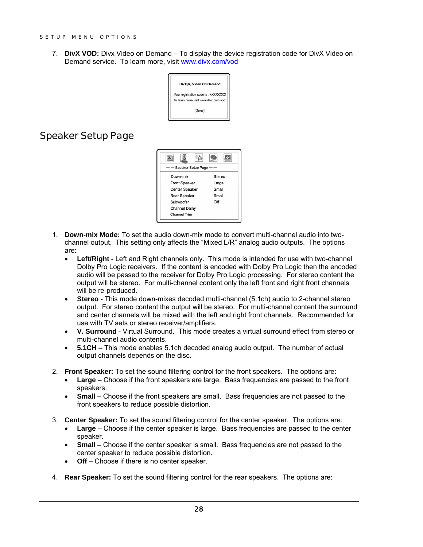<span id="page-31-0"></span>7. **DivX VOD:** Divx Video on Demand – To display the device registration code for DivX Video on Demand service. To learn more, visit [www.divx.com/vod](http://www.divx.com/vod)



## Speaker Setup Page



- 1. **Down-mix Mode:** To set the audio down-mix mode to convert multi-channel audio into twochannel output. This setting only affects the "Mixed L/R" analog audio outputs. The options are:
	- **Left/Right** Left and Right channels only. This mode is intended for use with two-channel Dolby Pro Logic receivers. If the content is encoded with Dolby Pro Logic then the encoded audio will be passed to the receiver for Dolby Pro Logic processing. For stereo content the output will be stereo. For multi-channel content only the left front and right front channels will be re-produced.
	- **Stereo** This mode down-mixes decoded multi-channel (5.1ch) audio to 2-channel stereo output. For stereo content the output will be stereo. For multi-channel content the surround and center channels will be mixed with the left and right front channels. Recommended for use with TV sets or stereo receiver/amplifiers.
	- **V. Surround** Virtual Surround. This mode creates a virtual surround effect from stereo or multi-channel audio contents.
	- **5.1CH**  This mode enables 5.1ch decoded analog audio output. The number of actual output channels depends on the disc.
- 2. **Front Speaker:** To set the sound filtering control for the front speakers. The options are:
	- **Large** Choose if the front speakers are large. Bass frequencies are passed to the front speakers.
	- **Small** Choose if the front speakers are small. Bass frequencies are not passed to the front speakers to reduce possible distortion.
- 3. **Center Speaker:** To set the sound filtering control for the center speaker. The options are:
	- **Large** Choose if the center speaker is large. Bass frequencies are passed to the center speaker.
	- **Small** Choose if the center speaker is small. Bass frequencies are not passed to the center speaker to reduce possible distortion.
	- **Off** Choose if there is no center speaker.
- 4. **Rear Speaker:** To set the sound filtering control for the rear speakers. The options are: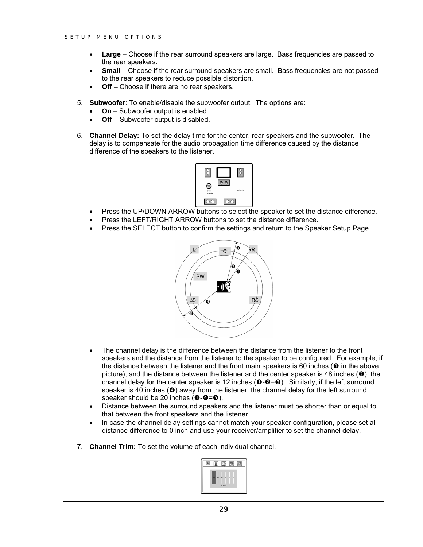- **Large** Choose if the rear surround speakers are large. Bass frequencies are passed to the rear speakers.
- **Small** Choose if the rear surround speakers are small. Bass frequencies are not passed to the rear speakers to reduce possible distortion.
- **Off** Choose if there are no rear speakers.
- 5. **Subwoofer**: To enable/disable the subwoofer output. The options are:
	- **On** Subwoofer output is enabled.
	- **Off** Subwoofer output is disabled.
- 6. **Channel Delay:** To set the delay time for the center, rear speakers and the subwoofer. The delay is to compensate for the audio propagation time difference caused by the distance difference of the speakers to the listener.



- Press the UP/DOWN ARROW buttons to select the speaker to set the distance difference.
- Press the LEFT/RIGHT ARROW buttons to set the distance difference.
- Press the SELECT button to confirm the settings and return to the Speaker Setup Page.



- The channel delay is the difference between the distance from the listener to the front speakers and the distance from the listener to the speaker to be configured. For example, if the distance between the listener and the front main speakers is 60 inches ( $\bullet$  in the above picture), and the distance between the listener and the center speaker is 48 inches ( $\Theta$ ), the channel delay for the center speaker is 12 inches  $(\mathbf{0}\cdot\mathbf{e}=\mathbf{0})$ . Similarly, if the left surround speaker is 40 inches  $\circledcirc$  away from the listener, the channel delay for the left surround speaker should be 20 inches  $(0-0=0)$ .
- Distance between the surround speakers and the listener must be shorter than or equal to that between the front speakers and the listener.
- In case the channel delay settings cannot match your speaker configuration, please set all distance difference to 0 inch and use your receiver/amplifier to set the channel delay.
- 7. **Channel Trim:** To set the volume of each individual channel.

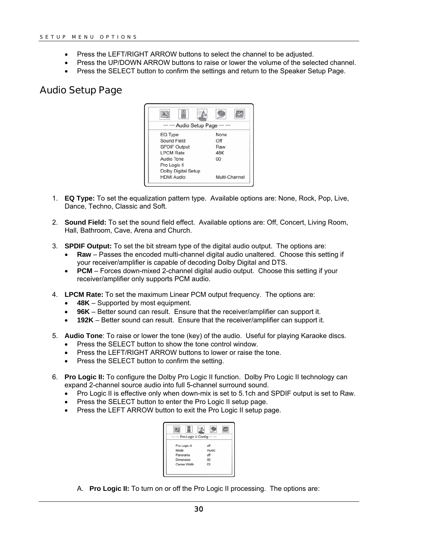- <span id="page-33-0"></span>• Press the LEFT/RIGHT ARROW buttons to select the channel to be adjusted.
- Press the UP/DOWN ARROW buttons to raise or lower the volume of the selected channel.
- Press the SELECT button to confirm the settings and return to the Speaker Setup Page.

#### Audio Setup Page



- 1. **EQ Type:** To set the equalization pattern type. Available options are: None, Rock, Pop, Live, Dance, Techno, Classic and Soft.
- 2. **Sound Field:** To set the sound field effect. Available options are: Off, Concert, Living Room, Hall, Bathroom, Cave, Arena and Church.
- 3. **SPDIF Output:** To set the bit stream type of the digital audio output. The options are:
	- **Raw** Passes the encoded multi-channel digital audio unaltered. Choose this setting if your receiver/amplifier is capable of decoding Dolby Digital and DTS.
	- **PCM** Forces down-mixed 2-channel digital audio output. Choose this setting if your receiver/amplifier only supports PCM audio.
- 4. **LPCM Rate:** To set the maximum Linear PCM output frequency. The options are:
	- 48K Supported by most equipment.
	- **96K** Better sound can result. Ensure that the receiver/amplifier can support it.
	- **192K** Better sound can result. Ensure that the receiver/amplifier can support it.
- 5. **Audio Tone**: To raise or lower the tone (key) of the audio. Useful for playing Karaoke discs.
	- Press the SELECT button to show the tone control window.
	- Press the LEFT/RIGHT ARROW buttons to lower or raise the tone.
	- Press the SELECT button to confirm the setting.
- 6. **Pro Logic II:** To configure the Dolby Pro Logic II function. Dolby Pro Logic II technology can expand 2-channel source audio into full 5-channel surround sound.
	- Pro Logic II is effective only when down-mix is set to 5.1ch and SPDIF output is set to Raw.
	- Press the SELECT button to enter the Pro Logic II setup page.
	- Press the LEFT ARROW button to exit the Pro Logic II setup page.



A. **Pro Logic II:** To turn on or off the Pro Logic II processing. The options are: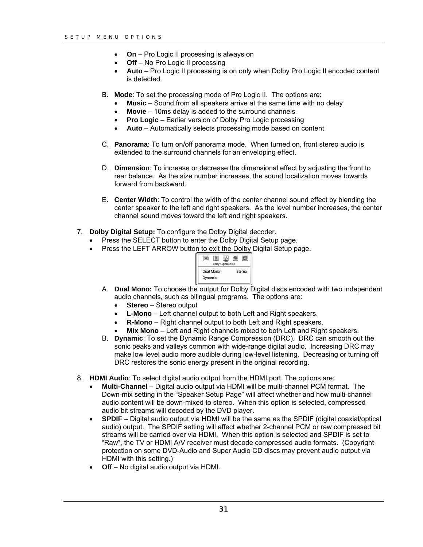- **On** Pro Logic II processing is always on
- **Off** No Pro Logic II processing
- **Auto** Pro Logic II processing is on only when Dolby Pro Logic II encoded content is detected.
- B. **Mode**: To set the processing mode of Pro Logic II. The options are:
	- **Music** Sound from all speakers arrive at the same time with no delay
	- **Movie** 10ms delay is added to the surround channels
	- **Pro Logic** Earlier version of Dolby Pro Logic processing
	- **Auto** Automatically selects processing mode based on content
- C. **Panorama**: To turn on/off panorama mode. When turned on, front stereo audio is extended to the surround channels for an enveloping effect.
- D. **Dimension**: To increase or decrease the dimensional effect by adjusting the front to rear balance. As the size number increases, the sound localization moves towards forward from backward.
- E. **Center Width**: To control the width of the center channel sound effect by blending the center speaker to the left and right speakers. As the level number increases, the center channel sound moves toward the left and right speakers.
- 7. **Dolby Digital Setup:** To configure the Dolby Digital decoder.
	- Press the SELECT button to enter the Dolby Digital Setup page.
	- Press the LEFT ARROW button to exit the Dolby Digital Setup page.



- A. **Dual Mono:** To choose the output for Dolby Digital discs encoded with two independent audio channels, such as bilingual programs. The options are:
	- **Stereo** Stereo output
	- **L-Mono** Left channel output to both Left and Right speakers.
	- **R-Mono** Right channel output to both Left and Right speakers.
	- **Mix Mono** Left and Right channels mixed to both Left and Right speakers.
- B. **Dynamic**: To set the Dynamic Range Compression (DRC). DRC can smooth out the sonic peaks and valleys common with wide-range digital audio. Increasing DRC may make low level audio more audible during low-level listening. Decreasing or turning off DRC restores the sonic energy present in the original recording.
- 8. **HDMI Audio**: To select digital audio output from the HDMI port. The options are:
	- **Multi-Channel** Digital audio output via HDMI will be multi-channel PCM format. The Down-mix setting in the "Speaker Setup Page" will affect whether and how multi-channel audio content will be down-mixed to stereo. When this option is selected, compressed audio bit streams will decoded by the DVD player.
	- **SPDIF**  Digital audio output via HDMI will be the same as the SPDIF (digital coaxial/optical audio) output. The SPDIF setting will affect whether 2-channel PCM or raw compressed bit streams will be carried over via HDMI. When this option is selected and SPDIF is set to "Raw", the TV or HDMI A/V receiver must decode compressed audio formats. (Copyright protection on some DVD-Audio and Super Audio CD discs may prevent audio output via HDMI with this setting.)
	- **Off** No digital audio output via HDMI.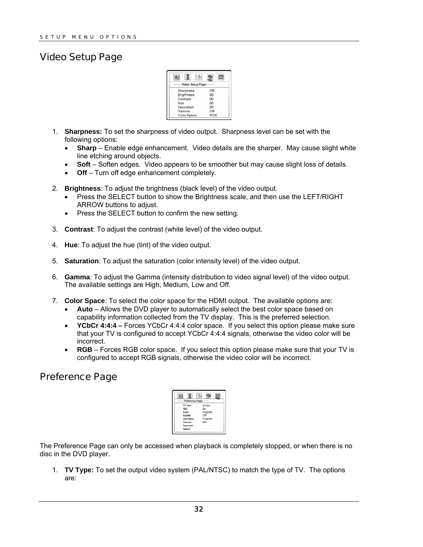### <span id="page-35-0"></span>Video Setup Page



- 1. **Sharpness:** To set the sharpness of video output. Sharpness level can be set with the following options:
	- **Sharp** Enable edge enhancement. Video details are the sharper. May cause slight white line etching around objects.
	- **Soft** Soften edges. Video appears to be smoother but may cause slight loss of details.
	- **Off** Turn off edge enhancement completely.
- 2. **Brightness**: To adjust the brightness (black level) of the video output.
	- Press the SELECT button to show the Brightness scale, and then use the LEFT/RIGHT ARROW buttons to adjust.
	- Press the SELECT button to confirm the new setting.
- 3. **Contrast**: To adjust the contrast (white level) of the video output.
- 4. **Hue**: To adjust the hue (tint) of the video output.
- 5. **Saturation**: To adjust the saturation (color intensity level) of the video output.
- 6. **Gamma**: To adjust the Gamma (intensity distribution to video signal level) of the video output. The available settings are High, Medium, Low and Off.
- 7. **Color Space**: To select the color space for the HDMI output. The available options are:
	- **Auto** Allows the DVD player to automatically select the best color space based on capability information collected from the TV display. This is the preferred selection.
	- **YCbCr 4:4:4** Forces YCbCr 4:4:4 color space. If you select this option please make sure that your TV is configured to accept YCbCr 4:4:4 signals, otherwise the video color will be incorrect.
	- **RGB** Forces RGB color space. If you select this option please make sure that your TV is configured to accept RGB signals, otherwise the video color will be incorrect.

## Preference Page

| Preference Page -                                                                                                                                          |  |
|------------------------------------------------------------------------------------------------------------------------------------------------------------|--|
| TV Type<br><b>NTSC</b><br><b>PBC</b><br>On<br>English<br>Audio<br>Off<br>Subtitle<br>English<br><b>Disc Menu</b><br>OFF<br>Parental<br>Password<br>Default |  |

The Preference Page can only be accessed when playback is completely stopped, or when there is no disc in the DVD player.

1. **TV Type:** To set the output video system (PAL/NTSC) to match the type of TV. The options are: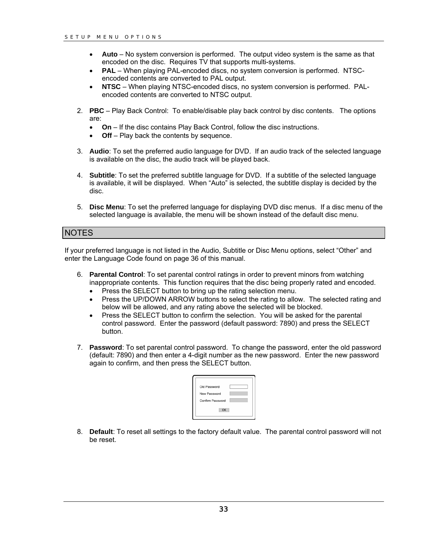- **Auto** No system conversion is performed. The output video system is the same as that encoded on the disc. Requires TV that supports multi-systems.
- **PAL** When playing PAL-encoded discs, no system conversion is performed. NTSCencoded contents are converted to PAL output.
- **NTSC** When playing NTSC-encoded discs, no system conversion is performed. PALencoded contents are converted to NTSC output.
- 2. **PBC** Play Back Control: To enable/disable play back control by disc contents. The options are:
	- **On** If the disc contains Play Back Control, follow the disc instructions.
	- **Off** Play back the contents by sequence.
- 3. **Audio**: To set the preferred audio language for DVD. If an audio track of the selected language is available on the disc, the audio track will be played back.
- 4. **Subtitle**: To set the preferred subtitle language for DVD. If a subtitle of the selected language is available, it will be displayed. When "Auto" is selected, the subtitle display is decided by the disc.
- 5. **Disc Menu**: To set the preferred language for displaying DVD disc menus. If a disc menu of the selected language is available, the menu will be shown instead of the default disc menu.

#### **NOTES**

If your preferred language is not listed in the Audio, Subtitle or Disc Menu options, select "Other" and enter the Language Code found on page [36](#page-39-0) of this manual.

- 6. **Parental Control**: To set parental control ratings in order to prevent minors from watching inappropriate contents. This function requires that the disc being properly rated and encoded.
	- Press the SELECT button to bring up the rating selection menu.
	- Press the UP/DOWN ARROW buttons to select the rating to allow. The selected rating and below will be allowed, and any rating above the selected will be blocked.
	- Press the SELECT button to confirm the selection. You will be asked for the parental control password. Enter the password (default password: 7890) and press the SELECT button.
- 7. **Password**: To set parental control password. To change the password, enter the old password (default: 7890) and then enter a 4-digit number as the new password. Enter the new password again to confirm, and then press the SELECT button.

| Old Password     |  |
|------------------|--|
| New Password     |  |
| Confirm Password |  |
| OK               |  |

8. **Default**: To reset all settings to the factory default value. The parental control password will not be reset.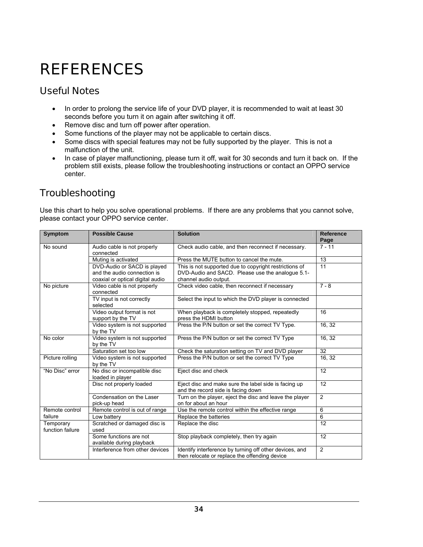## <span id="page-37-0"></span>**REFERENCES**

## Useful Notes

- In order to prolong the service life of your DVD player, it is recommended to wait at least 30 seconds before you turn it on again after switching it off.
- Remove disc and turn off power after operation.
- Some functions of the player may not be applicable to certain discs.
- Some discs with special features may not be fully supported by the player. This is not a malfunction of the unit.
- In case of player malfunctioning, please turn it off, wait for 30 seconds and turn it back on. If the problem still exists, please follow the troubleshooting instructions or contact an OPPO service center.

## **Troubleshooting**

Use this chart to help you solve operational problems. If there are any problems that you cannot solve, please contact your OPPO service center.

| Symptom                       | <b>Possible Cause</b>                               | <b>Solution</b>                                                                                          | Reference<br>Page |
|-------------------------------|-----------------------------------------------------|----------------------------------------------------------------------------------------------------------|-------------------|
| No sound                      | Audio cable is not properly<br>connected            | Check audio cable, and then reconnect if necessary.                                                      | $7 - 11$          |
|                               | Muting is activated                                 | Press the MUTE button to cancel the mute.                                                                | 13                |
|                               | DVD-Audio or SACD is played                         | This is not supported due to copyright restrictions of                                                   | 11                |
|                               | and the audio connection is                         | DVD-Audio and SACD. Please use the analogue 5.1-                                                         |                   |
|                               | coaxial or optical digital audio                    | channel audio output.                                                                                    |                   |
| No picture                    | Video cable is not properly<br>connected            | Check video cable, then reconnect if necessary                                                           | $7 - 8$           |
|                               | TV input is not correctly<br>selected               | Select the input to which the DVD player is connected                                                    |                   |
|                               | Video output format is not<br>support by the TV     | When playback is completely stopped, repeatedly<br>press the HDMI button                                 | 16                |
|                               | Video system is not supported<br>by the TV          | Press the P/N button or set the correct TV Type.                                                         | 16, 32            |
| No color                      | Video system is not supported<br>by the TV          | Press the P/N button or set the correct TV Type                                                          | 16, 32            |
|                               | Saturation set too low                              | Check the saturation setting on TV and DVD player                                                        | 32                |
| Picture rolling               | Video system is not supported<br>by the TV          | Press the P/N button or set the correct TV Type                                                          | 16, 32            |
| "No Disc" error               | No disc or incompatible disc<br>loaded in player    | Eject disc and check                                                                                     | 12                |
|                               | Disc not properly loaded                            | Eject disc and make sure the label side is facing up<br>and the record side is facing down               | 12                |
|                               | Condensation on the Laser                           | Turn on the player, eject the disc and leave the player                                                  | $\overline{2}$    |
|                               | pick-up head                                        | on for about an hour                                                                                     |                   |
| Remote control                | Remote control is out of range                      | Use the remote control within the effective range                                                        | 6                 |
| failure                       | Low battery                                         | Replace the batteries                                                                                    | 6                 |
| Temporary<br>function failure | Scratched or damaged disc is<br>used                | Replace the disc                                                                                         | 12                |
|                               | Some functions are not<br>available during playback | Stop playback completely, then try again                                                                 | 12                |
|                               | Interference from other devices                     | Identify interference by turning off other devices, and<br>then relocate or replace the offending device | 2                 |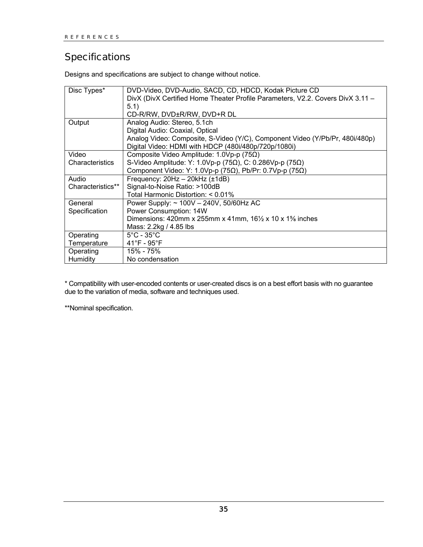## <span id="page-38-0"></span>**Specifications**

Designs and specifications are subject to change without notice.

| Disc Types*       | DVD-Video, DVD-Audio, SACD, CD, HDCD, Kodak Picture CD                           |
|-------------------|----------------------------------------------------------------------------------|
|                   | DivX (DivX Certified Home Theater Profile Parameters, V2.2. Covers DivX 3.11 -   |
|                   | 5.1)                                                                             |
|                   | CD-R/RW, DVD±R/RW, DVD+R DL                                                      |
| Output            | Analog Audio: Stereo, 5.1ch                                                      |
|                   | Digital Audio: Coaxial, Optical                                                  |
|                   | Analog Video: Composite, S-Video (Y/C), Component Video (Y/Pb/Pr, 480i/480p)     |
|                   | Digital Video: HDMI with HDCP (480i/480p/720p/1080i)                             |
| Video             | Composite Video Amplitude: $1.0Vp-p$ (75 $\Omega$ )                              |
| Characteristics   | S-Video Amplitude: Y: 1.0Vp-p (75 $\Omega$ ), C: 0.286Vp-p (75 $\Omega$ )        |
|                   | Component Video: Y: 1.0Vp-p (75 $\Omega$ ), Pb/Pr: 0.7Vp-p (75 $\Omega$ )        |
| Audio             | Frequency: 20Hz - 20kHz (±1dB)                                                   |
| Characteristics** | Signal-to-Noise Ratio: >100dB                                                    |
|                   | Total Harmonic Distortion: < 0.01%                                               |
| General           | Power Supply: ~ 100V - 240V, 50/60Hz AC                                          |
| Specification     | Power Consumption: 14W                                                           |
|                   | Dimensions: 420mm x 255mm x 41mm, $16\frac{1}{2}$ x 10 x 1 <sup>5</sup> % inches |
|                   | Mass: 2.2kg / 4.85 lbs                                                           |
| Operating         | $5^{\circ}$ C - 35 $^{\circ}$ C                                                  |
| Temperature       | $41^{\circ}$ F - 95 $^{\circ}$ F                                                 |
| Operating         | 15% - 75%                                                                        |
| Humidity          | No condensation                                                                  |

\* Compatibility with user-encoded contents or user-created discs is on a best effort basis with no guarantee due to the variation of media, software and techniques used.

\*\*Nominal specification.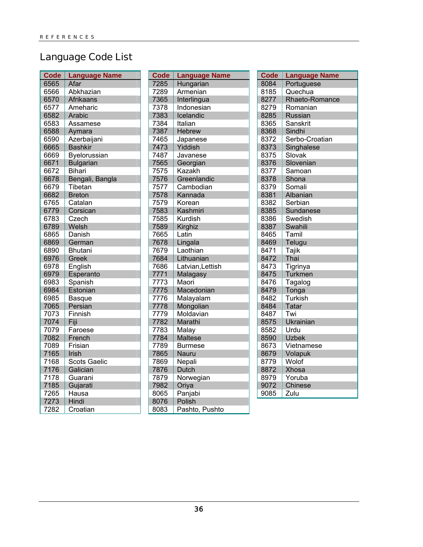## <span id="page-39-0"></span>Language Code List

| <b>Code</b> | <b>Language Name</b> |
|-------------|----------------------|
| 6565        | Afar                 |
| 6566        | Abkhazian            |
| 6570        | <b>Afrikaans</b>     |
| 6577        | Ameharic             |
| 6582        | Arabic               |
| 6583        | Assamese             |
| 6588        | Aymara               |
| 6590        | Azerbaijani          |
| 6665        | <b>Bashkir</b>       |
| 6669        | Byelorussian         |
| 6671        | <b>Bulgarian</b>     |
| 6672        | <b>Bihari</b>        |
| 6678        | Bengali, Bangla      |
| 6679        | Tibetan              |
| 6682        | <b>Breton</b>        |
| 6765        | Catalan              |
| 6779        | Corsican             |
| 6783        | Czech                |
| 6789        | Welsh                |
| 6865        | Danish               |
| 6869        | German               |
| 6890        | <b>Bhutani</b>       |
| 6976        | Greek                |
| 6978        | English              |
| 6979        | Esperanto            |
| 6983        | Spanish              |
| 6984        | Estonian             |
| 6985        | Basque               |
| 7065        | Persian              |
| 7073        | Finnish              |
| 7074        | Fiji                 |
| 7079        | Faroese              |
| 7082        | French               |
| 7089        | Frisian              |
| 7165        | Irish                |
| 7168        | <b>Scots Gaelic</b>  |
| 7176        | Galician             |
| 7178        | Guarani              |
| 7185        | Gujarati             |
| 7265        | Hausa                |
| 7273        | Hindi                |
| 7282        | Croatian             |

| Code | <b>Language Name</b> |
|------|----------------------|
| 7285 | Hungarian            |
| 7289 | Armenian             |
| 7365 | Interlingua          |
| 7378 | Indonesian           |
| 7383 | Icelandic            |
| 7384 | Italian              |
| 7387 | <b>Hebrew</b>        |
| 7465 | Japanese             |
| 7473 | Yiddish              |
| 7487 | Javanese             |
| 7565 | Georgian             |
| 7575 | <b>Kazakh</b>        |
| 7576 | Greenlandic          |
| 7577 | Cambodian            |
| 7578 | Kannada              |
| 7579 | Korean               |
| 7583 | Kashmiri             |
| 7585 | Kurdish              |
| 7589 | Kirghiz              |
| 7665 | Latin                |
| 7678 | Lingala              |
| 7679 | Laothian             |
| 7684 | Lithuanian           |
| 7686 | Latvian, Lettish     |
| 7771 | Malagasy             |
| 7773 | Maori                |
| 7775 | Macedonian           |
| 7776 | Malayalam            |
| 7778 | Mongolian            |
| 7779 | Moldavian            |
| 7782 | Marathi              |
| 7783 | Malay                |
| 7784 | <b>Maltese</b>       |
| 7789 | Burmese              |
| 7865 | Nauru                |
| 7869 | Nepali               |
| 7876 | Dutch                |
| 7879 | Norwegian            |
| 7982 | Oriya                |
| 8065 | Panjabi              |
| 8076 | Polish               |
| 8083 | Pashto. Pushto       |

| <b>Code</b> | <b>Language Name</b> |
|-------------|----------------------|
| 8084        | Portuguese           |
| 8185        | Quechua              |
| 8277        | Rhaeto-Romance       |
| 8279        | Romanian             |
| 8285        | <b>Russian</b>       |
| 8365        | Sanskrit             |
| 8368        | Sindhi               |
| 8372        | Serbo-Croatian       |
| 8373        | Singhalese           |
| 8375        | Slovak               |
| 8376        | Slovenian            |
| 8377        | Samoan               |
| 8378        | Shona                |
| 8379        | Somali               |
| 8381        | Albanian             |
| 8382        | Serbian              |
| 8385        | Sundanese            |
| 8386        | Swedish              |
| 8387        | Swahili              |
| 8465        | Tamil                |
| 8469        | Telugu               |
| 8471        | Tajik                |
| 8472        | Thai                 |
| 8473        | Tigrinya             |
| 8475        | Turkmen              |
| 8476        | Tagalog              |
| 8479        | Tonga                |
| 8482        | Turkish              |
| 8484        | <b>Tatar</b>         |
| 8487        | Twi                  |
| 8575        | Ukrainian            |
| 8582        | Urdu                 |
| 8590        | <b>Uzbek</b>         |
| 8673        | Vietnamese           |
| 8679        | Volapuk              |
| 8779        | Wolof                |
| 8872        | Xhosa                |
| 8979        | Yoruba               |
| 9072        | Chinese              |
| 9085        | Zulu                 |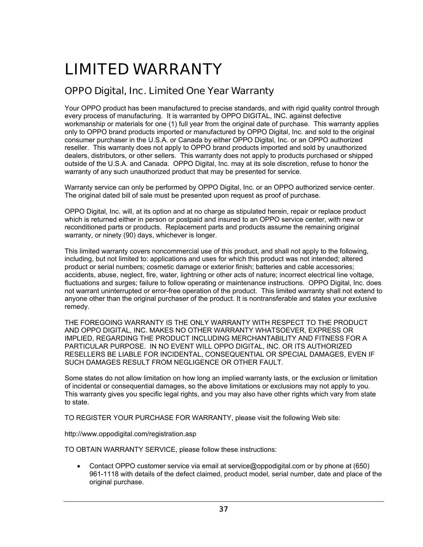## <span id="page-40-0"></span>LIMITED WARRANTY

## OPPO Digital, Inc. Limited One Year Warranty

Your OPPO product has been manufactured to precise standards, and with rigid quality control through every process of manufacturing. It is warranted by OPPO DIGITAL, INC. against defective workmanship or materials for one (1) full year from the original date of purchase. This warranty applies only to OPPO brand products imported or manufactured by OPPO Digital, Inc. and sold to the original consumer purchaser in the U.S.A. or Canada by either OPPO Digital, Inc. or an OPPO authorized reseller. This warranty does not apply to OPPO brand products imported and sold by unauthorized dealers, distributors, or other sellers. This warranty does not apply to products purchased or shipped outside of the U.S.A. and Canada. OPPO Digital, Inc. may at its sole discretion, refuse to honor the warranty of any such unauthorized product that may be presented for service.

Warranty service can only be performed by OPPO Digital, Inc. or an OPPO authorized service center. The original dated bill of sale must be presented upon request as proof of purchase.

OPPO Digital, Inc. will, at its option and at no charge as stipulated herein, repair or replace product which is returned either in person or postpaid and insured to an OPPO service center, with new or reconditioned parts or products. Replacement parts and products assume the remaining original warranty, or ninety (90) days, whichever is longer.

This limited warranty covers noncommercial use of this product, and shall not apply to the following, including, but not limited to: applications and uses for which this product was not intended; altered product or serial numbers; cosmetic damage or exterior finish; batteries and cable accessories; accidents, abuse, neglect, fire, water, lightning or other acts of nature; incorrect electrical line voltage, fluctuations and surges; failure to follow operating or maintenance instructions. OPPO Digital, Inc. does not warrant uninterrupted or error-free operation of the product. This limited warranty shall not extend to anyone other than the original purchaser of the product. It is nontransferable and states your exclusive remedy.

THE FOREGOING WARRANTY IS THE ONLY WARRANTY WITH RESPECT TO THE PRODUCT AND OPPO DIGITAL, INC. MAKES NO OTHER WARRANTY WHATSOEVER, EXPRESS OR IMPLIED, REGARDING THE PRODUCT INCLUDING MERCHANTABILITY AND FITNESS FOR A PARTICULAR PURPOSE. IN NO EVENT WILL OPPO DIGITAL, INC. OR ITS AUTHORIZED RESELLERS BE LIABLE FOR INCIDENTAL, CONSEQUENTIAL OR SPECIAL DAMAGES, EVEN IF SUCH DAMAGES RESULT FROM NEGLIGENCE OR OTHER FAULT.

Some states do not allow limitation on how long an implied warranty lasts, or the exclusion or limitation of incidental or consequential damages, so the above limitations or exclusions may not apply to you. This warranty gives you specific legal rights, and you may also have other rights which vary from state to state.

TO REGISTER YOUR PURCHASE FOR WARRANTY, please visit the following Web site:

http://www.oppodigital.com/registration.asp

TO OBTAIN WARRANTY SERVICE, please follow these instructions:

• Contact OPPO customer service via email at service@oppodigital.com or by phone at (650) 961-1118 with details of the defect claimed, product model, serial number, date and place of the original purchase.